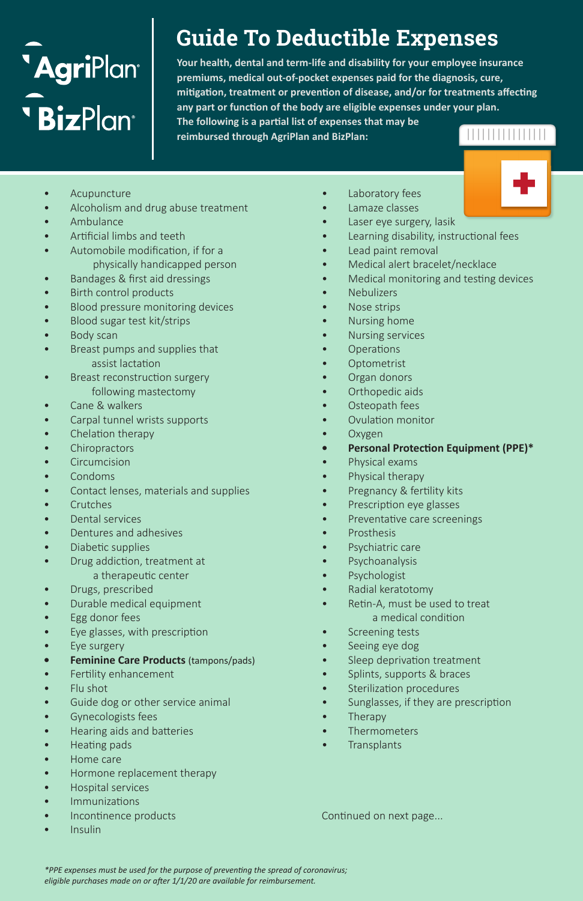# **'Agri**Plant **BizPlan**

# **Guide To Deductible Expenses**

**Your health, dental and term-life and disability for your employee insurance premiums, medical out-of-pocket expenses paid for the diagnosis, cure, mitigation, treatment or prevention of disease, and/or for treatments affecting any part or function of the body are eligible expenses under your plan. The following is a partial list of expenses that may be reimbursed through AgriPlan and BizPlan:**

- **Acupuncture**
- Alcoholism and drug abuse treatment
- Ambulance
- Artificial limbs and teeth
- Automobile modification, if for a physically handicapped person
- Bandages & first aid dressings
- Birth control products
- Blood pressure monitoring devices
- Blood sugar test kit/strips
- Body scan
- Breast pumps and supplies that assist lactation
- Breast reconstruction surgery following mastectomy
- Cane & walkers
- Carpal tunnel wrists supports
- Chelation therapy
- **Chiropractors**
- Circumcision
- Condoms
- Contact lenses, materials and supplies
- **Crutches**
- Dental services
- Dentures and adhesives
- Diabetic supplies
- Drug addiction, treatment at a therapeutic center
- Drugs, prescribed
- Durable medical equipment
- Egg donor fees
- Eye glasses, with prescription
- Eye surgery
- **• Feminine Care Products** (tampons/pads)
- Fertility enhancement
- Flu shot
- Guide dog or other service animal
- Gynecologists fees
- Hearing aids and batteries
- Heating pads
- Home care
- Hormone replacement therapy
- Hospital services
- Immunizations
- Incontinence products
- Insulin
- Laboratory fees
- Lamaze classes
- Laser eye surgery, lasik
- Learning disability, instructional fees
- Lead paint removal
- Medical alert bracelet/necklace
- Medical monitoring and testing devices
- **Nebulizers**
- Nose strips
- Nursing home
- Nursing services
- Operations
- **Optometrist**
- Organ donors
- Orthopedic aids
- Osteopath fees
- Ovulation monitor
- Oxygen
- **• Personal Protection Equipment (PPE)\***
- Physical exams
- Physical therapy
- Pregnancy & fertility kits
- Prescription eye glasses
- Preventative care screenings
- **Prosthesis**
- Psychiatric care
- **Psychoanalysis**
- **Psychologist**
- Radial keratotomy
- Retin-A, must be used to treat a medical condition
- Screening tests
- Seeing eye dog
- Sleep deprivation treatment
- Splints, supports & braces
- Sterilization procedures
- Sunglasses, if they are prescription
- Therapy
- **Thermometers**
- **Transplants**

Continued on next page...

*\*PPE expenses must be used for the purpose of preventing the spread of coronavirus; eligible purchases made on or after 1/1/20 are available for reimbursement.*